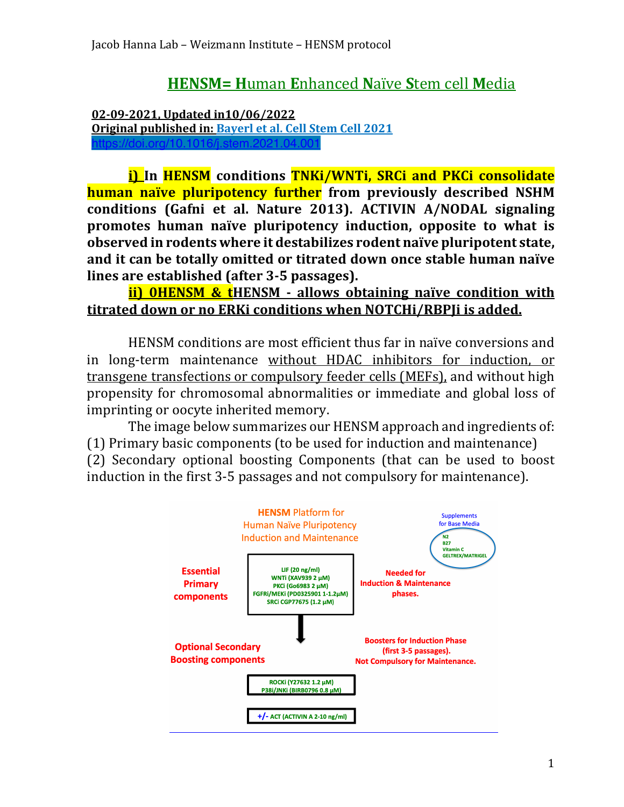## **HENSM= H**uman **E**nhanced **N**aïve **S**tem cell **M**edia

**02-09-2021, Updated in10/06/2022 Original published in: Bayerl et al. Cell Stem Cell 2021** https://doi.org/10.1016/j.stem.2021.04.001

**i)** In **HENSM** conditions **TNKi/WNTi, SRCi and PKCi consolidate human naïve pluripotency further** from previously described NSHM **conditions (Gafni et al. Nature 2013). ACTIVIN A/NODAL signaling promotes human naïve pluripotency induction, opposite to what is observed in rodents where it destabilizes rodent naïve pluripotent state,** and it can be totally omitted or titrated down once stable human naïve lines are established (after 3-5 passages).

## **ii) OHENSM & t**HENSM - allows obtaining naïve condition with titrated down or no ERKi conditions when NOTCHi/RBPJi is added.

HENSM conditions are most efficient thus far in naïve conversions and in long-term maintenance without HDAC inhibitors for induction, or transgene transfections or compulsory feeder cells (MEFs), and without high propensity for chromosomal abnormalities or immediate and global loss of imprinting or oocyte inherited memory.

The image below summarizes our HENSM approach and ingredients of:  $(1)$  Primary basic components (to be used for induction and maintenance) (2) Secondary optional boosting Components (that can be used to boost induction in the first 3-5 passages and not compulsory for maintenance).

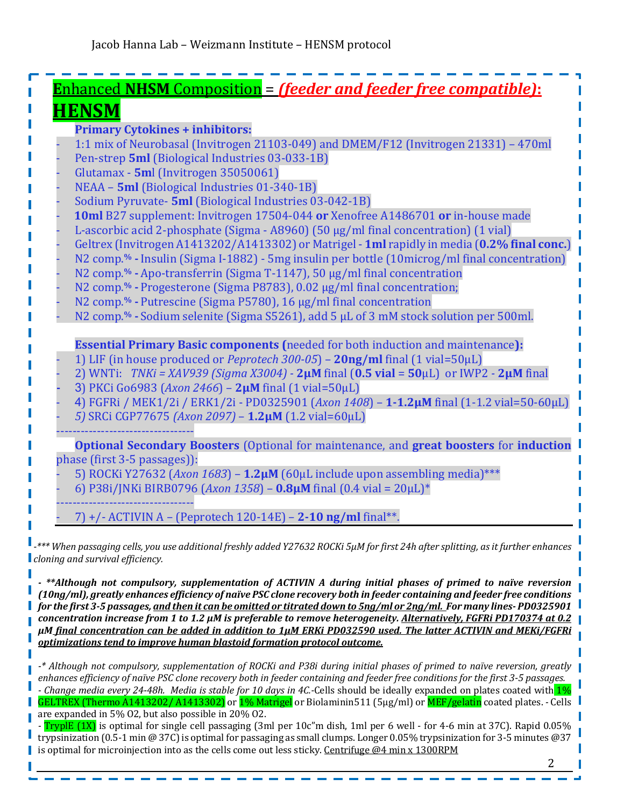### **E**nhanced NHSM Composition = *(feeder and feeder free compatible)*: **HENSM Primary Cytokines + inhibitors:** 1:1 mix of Neurobasal (Invitrogen 21103-049) and  $DMEM/F12$  (Invitrogen 21331) – 470ml Pen-strep **5ml** (Biological Industries 03-033-1B) - Glutamax - **5m**l (Invitrogen 35050061) NEAA - 5ml (Biological Industries 01-340-1B) Sodium Pyruvate- **5ml** (Biological Industries 03-042-1B) **10ml** B27 supplement: Invitrogen 17504-044 or Xenofree A1486701 or in-house made L-ascorbic acid 2-phosphate  $(Sigma - A8960)$  (50 μg/ml final concentration) (1 vial) Geltrex (Invitrogen A1413202/A1413302) or Matrigel **- 1ml** rapidly in media **(0.2% final conc.)** N2 comp.<sup>%</sup> - Insulin (Sigma I-1882) - 5mg insulin per bottle (10microg/ml final concentration) N2 comp.<sup>%</sup> - Apo-transferrin (Sigma T-1147), 50 μg/ml final concentration - N2 comp.**% -** Progesterone (Sigma P8783), 0.02 μg/ml final concentration; N2 comp.<sup>%</sup> - Putrescine (Sigma P5780), 16 μg/ml final concentration N2 comp.<sup>%</sup> - Sodium selenite (Sigma S5261), add 5 μL of 3 mM stock solution per 500ml. **Essential Primary Basic components** (needed for both induction and maintenance): 1) LIF (in house produced or *Peprotech*  $300-05$ ) – **20ng/ml** final (1 vial=50 $\mu$ L) - 2) WNTi: *TNKi = XAV939 (Sigma X3004) -* **2μM** final (**0.5 vial** = **50**μL) or IWP2 *-* **2μM** final **3**) PKCi Go6983 (*Axon 2466*) – **2μM** final (1 vial=50μL) 4) FGFRi / MEK1/2i / ERK1/2i - PD0325901 (*Axon 1408*) – **1-1.2μM** final (1-1.2 vial=50-60μL) - *5)* SRCi CGP77675 *(Axon 2097)* – **1.2μM** (1.2 vial=60μL) ---------------------------------- **Optional Secondary Boosters** (Optional for maintenance, and **great boosters** for **induction** phase (first 3-5 passages)): 5) ROCKi Y27632 (*Axon* 1683) – **1.2μM** (60μL include upon assembling media)\*\*\* 6) P38i/JNKi BIRB0796 (*Axon* 1358) – **0.8µM** final  $(0.4 \text{ vial} = 20 \mu L)^*$ ---------------------------------- 7)  $+/-$  ACTIVIN A – (Peprotech 120-14E) – 2-10 ng/ml final\*\*.

*-\*\*\* When passaging cells, you use additional freshly added Y27632 ROCKi 5μM for first 24h after splitting, as it further enhances*  **cloning and survival efficiency.** 

*- \*\*Although not compulsory, supplementation of ACTIVIN A during initial phases of primed to naïve reversion (10ng/ml), greatly enhances efficiency of naïve PSC clone recovery both in feeder containing and feeder free conditions for the first 3-5 passages, and then it can be omitted or titrated down to 5ng/ml or 2ng/ml. For many lines-PD0325901 concentration increase from 1 to 1.2 uM is preferable to remove heterogeneity. Alternatively, FGFRi PD170374 at 0.2 μM final concentration can be added in addition to 1μM ERKi PD032590 used. The latter ACTIVIN and MEKi/FGFRi <u>optimizations tend to improve human blastoid formation protocol outcome.*</u>

<sup>-\*</sup> Although not compulsory, supplementation of ROCKi and P38i during initial phases of primed to naïve reversion, greatly enhances efficiency of naïve PSC clone recovery both in feeder containing and feeder free conditions for the first 3-5 passages. - *Change media every* 24-48h. *Media is stable for 10 days in 4C*.-Cells should be ideally expanded on plates coated with 1% GELTREX (Thermo A1413202/ A1413302) or 1% Matrigel or Biolaminin511 (5μg/ml) or MEF/gelatin coated plates. - Cells are expanded in 5% O2, but also possible in 20% O2.

**TryplE** (1X) is optimal for single cell passaging (3ml per 10c"m dish, 1ml per 6 well - for 4-6 min at 37C). Rapid 0.05% trypsinization  $(0.5-1 \text{ min} \& 37C)$  is optimal for passaging as small clumps. Longer  $0.05\%$  trypsinization for 3-5 minutes  $@37$ is optimal for microinjection into as the cells come out less sticky. Centrifuge  $@4$  min x 1300RPM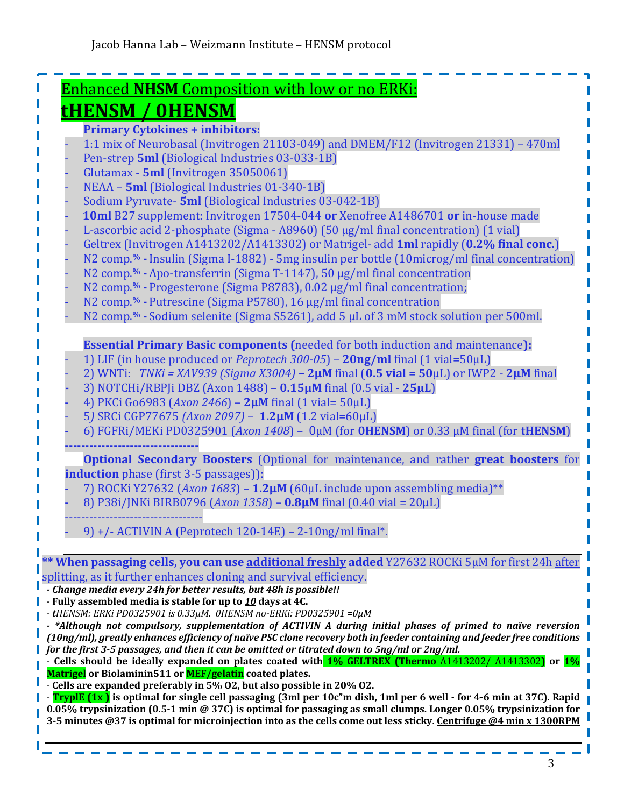| <u>Enhanced NHSM Composition with low or no ERKi:</u>                                                                                                                                                                                                                                                                                                                                                                                                                                                                                                                                                                                                                                                                                                                                                                                                                             |
|-----------------------------------------------------------------------------------------------------------------------------------------------------------------------------------------------------------------------------------------------------------------------------------------------------------------------------------------------------------------------------------------------------------------------------------------------------------------------------------------------------------------------------------------------------------------------------------------------------------------------------------------------------------------------------------------------------------------------------------------------------------------------------------------------------------------------------------------------------------------------------------|
| <b>HENSM / OHENSM</b>                                                                                                                                                                                                                                                                                                                                                                                                                                                                                                                                                                                                                                                                                                                                                                                                                                                             |
| <b>Primary Cytokines + inhibitors:</b>                                                                                                                                                                                                                                                                                                                                                                                                                                                                                                                                                                                                                                                                                                                                                                                                                                            |
| 1:1 mix of Neurobasal (Invitrogen 21103-049) and DMEM/F12 (Invitrogen 21331) - 470ml<br>Pen-strep 5ml (Biological Industries 03-033-1B)                                                                                                                                                                                                                                                                                                                                                                                                                                                                                                                                                                                                                                                                                                                                           |
| Glutamax - 5ml (Invitrogen 35050061)                                                                                                                                                                                                                                                                                                                                                                                                                                                                                                                                                                                                                                                                                                                                                                                                                                              |
| NEAA - 5ml (Biological Industries 01-340-1B)<br>Sodium Pyruvate- 5ml (Biological Industries 03-042-1B)                                                                                                                                                                                                                                                                                                                                                                                                                                                                                                                                                                                                                                                                                                                                                                            |
| 10ml B27 supplement: Invitrogen 17504-044 or Xenofree A1486701 or in-house made<br>L-ascorbic acid 2-phosphate (Sigma - A8960) (50 µg/ml final concentration) (1 vial)<br>Geltrex (Invitrogen A1413202/A1413302) or Matrigel- add 1ml rapidly (0.2% final conc.)<br>N2 comp.% - Insulin (Sigma I-1882) - 5mg insulin per bottle (10microg/ml final concentration)<br>N2 comp.% - Apo-transferrin (Sigma T-1147), 50 µg/ml final concentration<br>N2 comp.% - Progesterone (Sigma P8783), 0.02 µg/ml final concentration;<br>N2 comp.% - Putrescine (Sigma P5780), 16 µg/ml final concentration                                                                                                                                                                                                                                                                                    |
| N2 comp.% - Sodium selenite (Sigma S5261), add 5 µL of 3 mM stock solution per 500ml.                                                                                                                                                                                                                                                                                                                                                                                                                                                                                                                                                                                                                                                                                                                                                                                             |
| <b>Essential Primary Basic components (needed for both induction and maintenance):</b><br>1) LIF (in house produced or Peprotech 300-05) - 20ng/ml final (1 vial=50µL)<br>2) WNTi: TNKi = XAV939 (Sigma X3004) - $2\mu$ M final (0.5 vial = $50\mu$ L) or IWP2 - $2\mu$ M final<br>3) NOTCHi/RBPJi DBZ (Axon 1488) - 0.15µM final (0.5 vial - 25µL)<br>4) PKCi Go6983 (Axon 2466) - 2μM final (1 vial= 50μL)<br>5) SRCi CGP77675 (Axon 2097) - 1.2μM (1.2 vial=60μL)<br>6) FGFRi/MEKi PD0325901 (Axon 1408) - 0μM (for <b>OHENSM</b> ) or 0.33 μM final (for tHENSM)                                                                                                                                                                                                                                                                                                              |
|                                                                                                                                                                                                                                                                                                                                                                                                                                                                                                                                                                                                                                                                                                                                                                                                                                                                                   |
| Optional Secondary Boosters (Optional for maintenance, and rather great boosters for<br>induction phase (first 3-5 passages)):<br>7) ROCKi Y27632 (Axon 1683) - $1.2 \mu M$ (60 $\mu$ L include upon assembling media)**                                                                                                                                                                                                                                                                                                                                                                                                                                                                                                                                                                                                                                                          |
| 8) P38i/JNKi BIRB0796 (Axon 1358) - $0.8\mu$ M final (0.40 vial = $20\mu$ L)                                                                                                                                                                                                                                                                                                                                                                                                                                                                                                                                                                                                                                                                                                                                                                                                      |
| 9) +/- ACTIVIN A (Peprotech 120-14E) - 2-10ng/ml final*.                                                                                                                                                                                                                                                                                                                                                                                                                                                                                                                                                                                                                                                                                                                                                                                                                          |
| <b>** When passaging cells, you can use <u>additional freshly</u> added</b> Y27632 ROCKi 5µM for first 24h <u>after</u>                                                                                                                                                                                                                                                                                                                                                                                                                                                                                                                                                                                                                                                                                                                                                           |
| splitting, as it further enhances cloning and survival efficiency.<br>- Change media every 24h for better results, but 48h is possible!!<br>- Fully assembled media is stable for up to 10 days at 4C.<br>- tHENSM: ERKi PD0325901 is 0.33 $\mu$ M. OHENSM no-ERKi: PD0325901 = 0 $\mu$ M<br>- *Although not compulsory, supplementation of ACTIVIN A during initial phases of primed to naïve reversion<br>(10ng/ml), greatly enhances efficiency of naïve PSC clone recovery both in feeder containing and feeder free conditions<br>for the first 3-5 passages, and then it can be omitted or titrated down to 5ng/ml or 2ng/ml.<br>- Cells should be ideally expanded on plates coated with 1% GELTREX (Thermo A1413202/ A1413302) or 1%<br>Matrigel or Biolaminin511 or MEF/gelatin coated plates.<br>- Cells are expanded preferably in 5% 02, but also possible in 20% 02. |
| - TryplE (1x) is optimal for single cell passaging (3ml per 10c"m dish, 1ml per 6 well - for 4-6 min at 37C). Rapid<br>0.05% trypsinization (0.5-1 min @ 37C) is optimal for passaging as small clumps. Longer 0.05% trypsinization for<br>3-5 minutes @37 is optimal for microinjection into as the cells come out less sticky. Centrifuge @4 min x 1300RPM                                                                                                                                                                                                                                                                                                                                                                                                                                                                                                                      |

a ser en en en en en en en en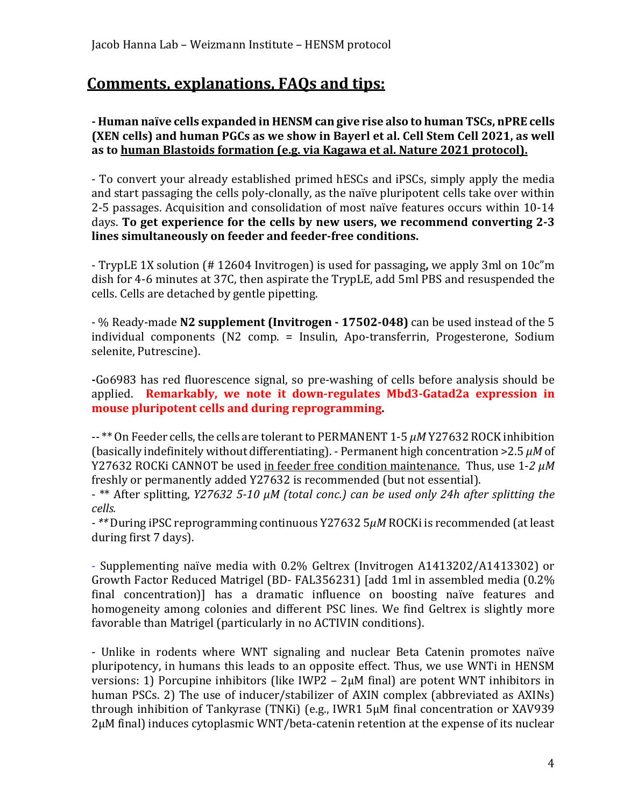# **Comments, explanations, FAQs and tips:**

#### **- Human naïve cells expanded in HENSM can give rise also to human TSCs, nPRE cells (XEN cells) and human PGCs as we show in Bayerl et al. Cell Stem Cell 2021, as well** as to human Blastoids formation (e.g. via Kagawa et al. Nature 2021 protocol).

- To convert your already established primed hESCs and iPSCs, simply apply the media and start passaging the cells poly-clonally, as the naïve pluripotent cells take over within 2-5 passages. Acquisition and consolidation of most naïve features occurs within 10-14 days. To get experience for the cells by new users, we recommend converting 2-3 lines simultaneously on feeder and feeder-free conditions.

- TrypLE 1X solution (# 12604 Invitrogen) is used for passaging, we apply 3ml on 10c"m dish for 4-6 minutes at 37C, then aspirate the TrypLE, add 5ml PBS and resuspended the cells. Cells are detached by gentle pipetting.

- % Ready-made **N2 supplement (Invitrogen - 17502-048)** can be used instead of the 5 individual components (N2 comp. = Insulin, Apo-transferrin, Progesterone, Sodium selenite, Putrescine).

**-**Go6983 has red fluorescence signal, so pre-washing of cells before analysis should be applied. Remarkably, we note it down-regulates Mbd3-Gatad2a expression in **mouse pluripotent cells and during reprogramming.** 

-- \*\* On Feeder cells, the cells are tolerant to PERMANENT 1-5 *μM* Y27632 ROCK inhibition (basically indefinitely without differentiating). - Permanent high concentration >2.5 *μM* of Y27632 ROCKi CANNOT be used in feeder free condition maintenance. Thus, use  $1-2 \mu M$ freshly or permanently added Y27632 is recommended (but not essential).

<sup>- \*\*</sup> After splitting, *Y27632 5-10 μM (total conc.) can be used only 24h after splitting the cells.* 

*- \*\** During iPSC reprogramming continuous Y27632 5*μM* ROCKi is recommended (at least during first 7 days).

- Supplementing naïve media with 0.2% Geltrex (Invitrogen A1413202/A1413302) or Growth Factor Reduced Matrigel (BD- FAL356231) [add 1ml in assembled media  $(0.2\%$ final concentration)] has a dramatic influence on boosting naïve features and homogeneity among colonies and different PSC lines. We find Geltrex is slightly more favorable than Matrigel (particularly in no ACTIVIN conditions).

- Unlike in rodents where WNT signaling and nuclear Beta Catenin promotes naïve pluripotency, in humans this leads to an opposite effect. Thus, we use WNTi in HENSM versions: 1) Porcupine inhibitors (like IWP2 –  $2\mu$ M final) are potent WNT inhibitors in human PSCs. 2) The use of inducer/stabilizer of AXIN complex (abbreviated as AXINs) through inhibition of Tankyrase (TNKi) (e.g., IWR1 5μM final concentration or XAV939 2μM final) induces cytoplasmic WNT/beta-catenin retention at the expense of its nuclear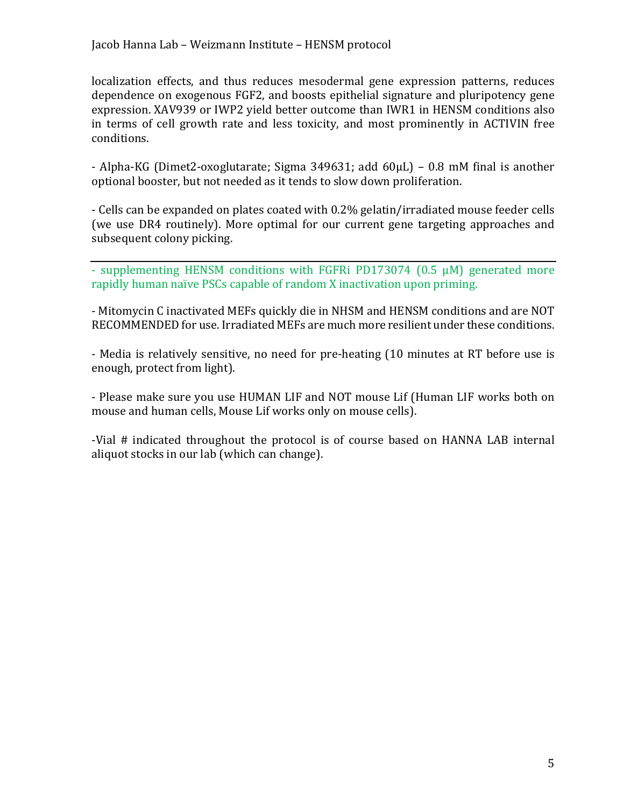localization effects, and thus reduces mesodermal gene expression patterns, reduces dependence on exogenous FGF2, and boosts epithelial signature and pluripotency gene expression. XAV939 or IWP2 vield better outcome than IWR1 in HENSM conditions also in terms of cell growth rate and less toxicity, and most prominently in ACTIVIN free conditions.

- Alpha-KG (Dimet2-oxoglutarate; Sigma  $349631$ ; add  $60\mu L$ ) – 0.8 mM final is another optional booster, but not needed as it tends to slow down proliferation.

- Cells can be expanded on plates coated with 0.2% gelatin/irradiated mouse feeder cells (we use DR4 routinely). More optimal for our current gene targeting approaches and subsequent colony picking.

- supplementing HENSM conditions with FGFRi PD173074 (0.5 μM) generated more rapidly human naïve PSCs capable of random X inactivation upon priming.

- Mitomycin C inactivated MEFs quickly die in NHSM and HENSM conditions and are NOT RECOMMENDED for use. Irradiated MEFs are much more resilient under these conditions.

- Media is relatively sensitive, no need for pre-heating (10 minutes at RT before use is enough, protect from light).

- Please make sure you use HUMAN LIF and NOT mouse Lif (Human LIF works both on mouse and human cells, Mouse Lif works only on mouse cells).

-Vial # indicated throughout the protocol is of course based on HANNA LAB internal aliquot stocks in our lab (which can change).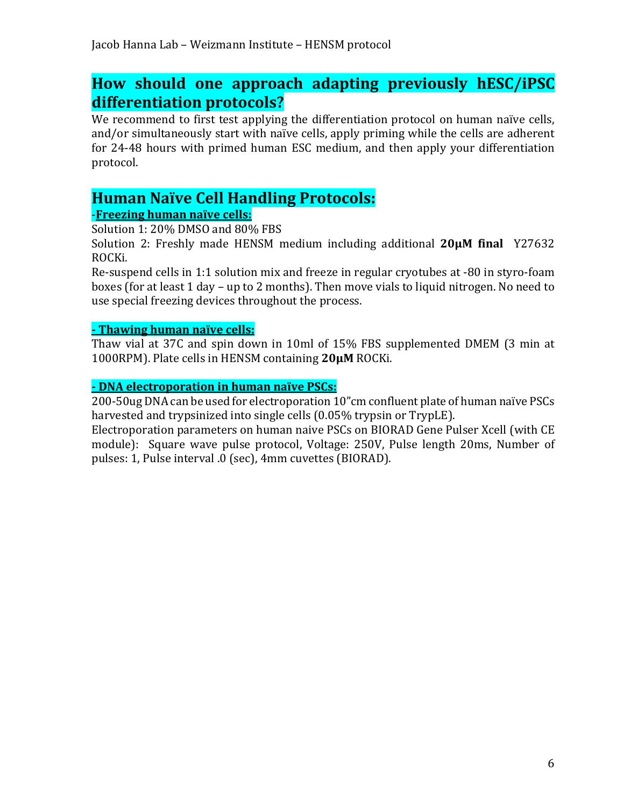# How should one approach adapting previously hESC/iPSC **differentiation protocols?**

We recommend to first test applying the differentiation protocol on human naïve cells, and/or simultaneously start with naïve cells, apply priming while the cells are adherent for 24-48 hours with primed human ESC medium, and then apply your differentiation protocol.

### **Human Naïve Cell Handling Protocols:** -**Freezing human naïve cells:**

Solution 1: 20% DMSO and 80% FBS

Solution 2: Freshly made HENSM medium including additional **20μM final** Y27632 ROCKi.

Re-suspend cells in 1:1 solution mix and freeze in regular cryotubes at -80 in styro-foam boxes (for at least 1 day – up to 2 months). Then move vials to liquid nitrogen. No need to use special freezing devices throughout the process.

#### **- Thawing human naïve cells:**

Thaw vial at 37C and spin down in 10ml of 15% FBS supplemented DMEM (3 min at 1000RPM). Plate cells in HENSM containing 20μM ROCKi.

#### **- DNA electroporation in human naïve PSCs:**

200-50ug DNA can be used for electroporation 10"cm confluent plate of human naïve PSCs harvested and trypsinized into single cells (0.05% trypsin or TrypLE).

Electroporation parameters on human naive PSCs on BIORAD Gene Pulser Xcell (with CE module): Square wave pulse protocol, Voltage: 250V, Pulse length 20ms, Number of pulses: 1, Pulse interval .0 (sec), 4mm cuvettes (BIORAD).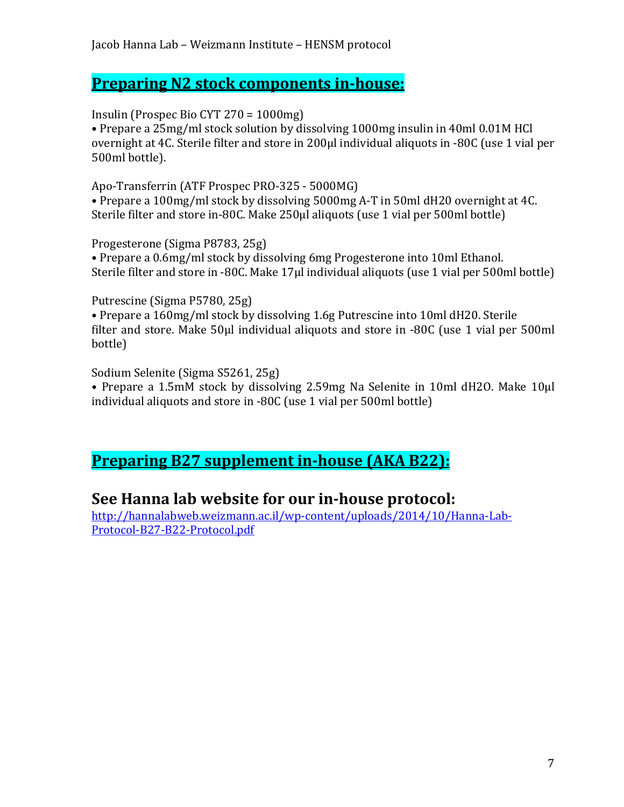## **Preparing N2 stock components in-house:**

Insulin (Prospec Bio CYT  $270 = 1000$ mg)

• Prepare a 25mg/ml stock solution by dissolving 1000mg insulin in 40ml 0.01M HCl overnight at 4C. Sterile filter and store in 200µl individual aliquots in -80C (use 1 vial per 500ml bottle).

Apo-Transferrin (ATF Prospec PRO-325 - 5000MG)

• Prepare a 100mg/ml stock by dissolving 5000mg A-T in 50ml dH20 overnight at 4C. Sterile filter and store in-80C. Make 250ul aliquots (use 1 vial per 500ml bottle)

Progesterone (Sigma P8783, 25g)

• Prepare a 0.6mg/ml stock by dissolving 6mg Progesterone into 10ml Ethanol. Sterile filter and store in -80C. Make 17µl individual aliquots (use 1 vial per 500ml bottle)

Putrescine (Sigma P5780, 25g)

• Prepare a 160mg/ml stock by dissolving 1.6g Putrescine into 10ml dH20. Sterile filter and store. Make  $50\mu l$  individual aliquots and store in -80C (use 1 vial per  $500\text{ml}$ bottle)

Sodium Selenite (Sigma S5261, 25g)

• Prepare a 1.5mM stock by dissolving 2.59mg Na Selenite in 10ml dH2O. Make 10µl individual aliquots and store in -80C (use 1 vial per 500ml bottle)

# **Preparing B27 supplement in-house (AKA B22):**

## See Hanna lab website for our in-house protocol:

http://hannalabweb.weizmann.ac.il/wp-content/uploads/2014/10/Hanna-Lab-Protocol-B27-B22-Protocol.pdf